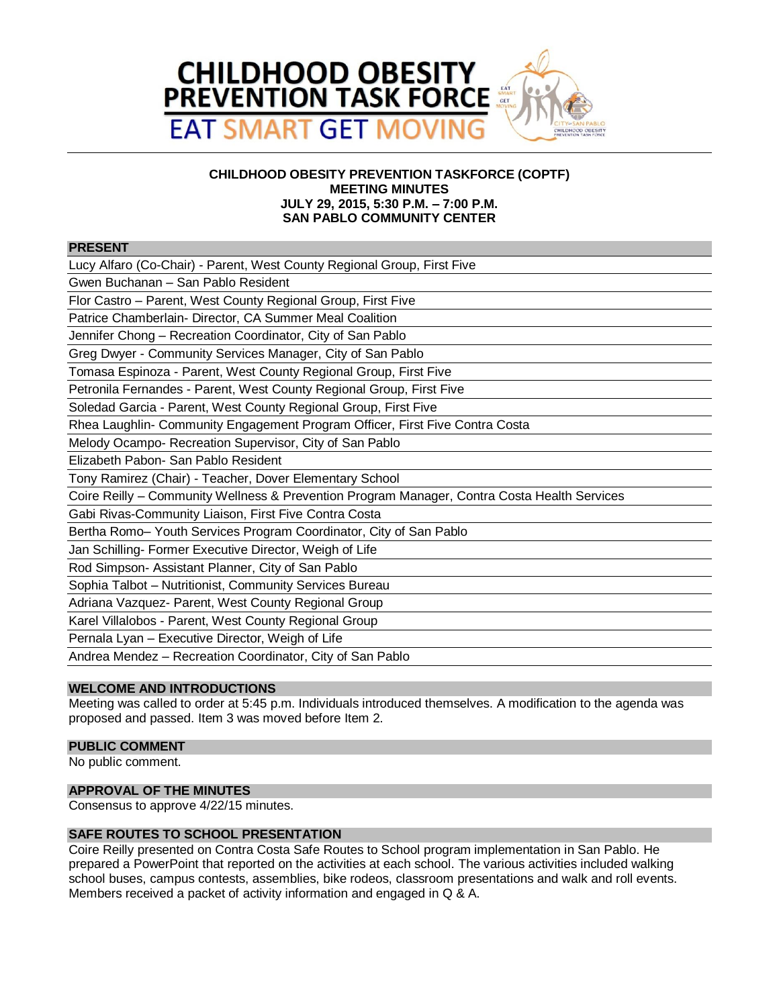

# **CHILDHOOD OBESITY PREVENTION TASKFORCE (COPTF) MEETING MINUTES JULY 29, 2015, 5:30 P.M. – 7:00 P.M. SAN PABLO COMMUNITY CENTER**

#### **PRESENT**

Lucy Alfaro (Co-Chair) - Parent, West County Regional Group, First Five

Gwen Buchanan – San Pablo Resident

Flor Castro – Parent, West County Regional Group, First Five

Patrice Chamberlain- Director, CA Summer Meal Coalition

Jennifer Chong – Recreation Coordinator, City of San Pablo

Greg Dwyer - Community Services Manager, City of San Pablo

Tomasa Espinoza - Parent, West County Regional Group, First Five

Petronila Fernandes - Parent, West County Regional Group, First Five

Soledad Garcia - Parent, West County Regional Group, First Five

Rhea Laughlin- Community Engagement Program Officer, First Five Contra Costa

Melody Ocampo- Recreation Supervisor, City of San Pablo

Elizabeth Pabon- San Pablo Resident

Tony Ramirez (Chair) - Teacher, Dover Elementary School

Coire Reilly – Community Wellness & Prevention Program Manager, Contra Costa Health Services

Gabi Rivas-Community Liaison, First Five Contra Costa

Bertha Romo– Youth Services Program Coordinator, City of San Pablo

Jan Schilling- Former Executive Director, Weigh of Life

Rod Simpson- Assistant Planner, City of San Pablo

Sophia Talbot – Nutritionist, Community Services Bureau

Adriana Vazquez- Parent, West County Regional Group

Karel Villalobos - Parent, West County Regional Group

Pernala Lyan – Executive Director, Weigh of Life

Andrea Mendez – Recreation Coordinator, City of San Pablo

## **WELCOME AND INTRODUCTIONS**

Meeting was called to order at 5:45 p.m. Individuals introduced themselves. A modification to the agenda was proposed and passed. Item 3 was moved before Item 2.

# **PUBLIC COMMENT**

No public comment.

# **APPROVAL OF THE MINUTES**

Consensus to approve 4/22/15 minutes.

# **SAFE ROUTES TO SCHOOL PRESENTATION**

Coire Reilly presented on Contra Costa Safe Routes to School program implementation in San Pablo. He prepared a PowerPoint that reported on the activities at each school. The various activities included walking school buses, campus contests, assemblies, bike rodeos, classroom presentations and walk and roll events. Members received a packet of activity information and engaged in Q & A.